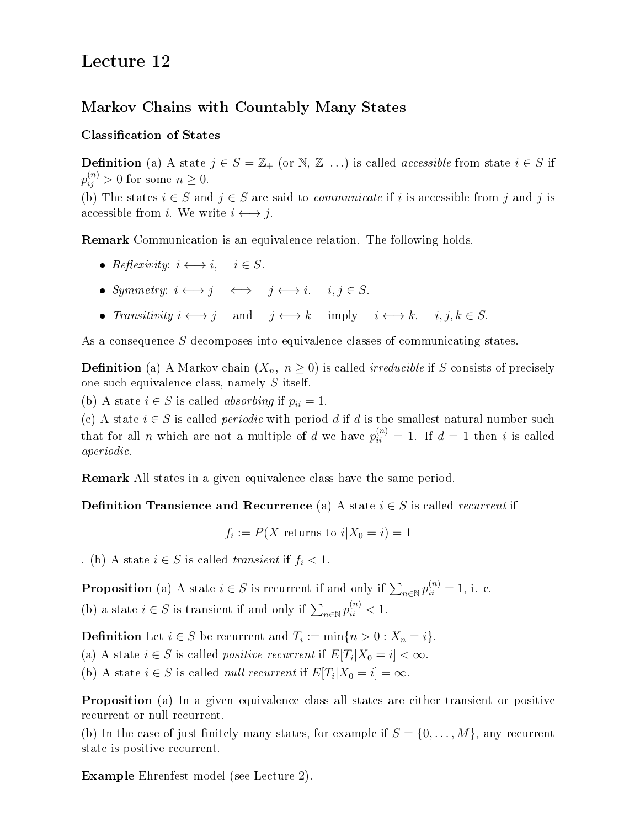# Lecture 12

# Markov Chains with Countably Many States

## Classification of States

**Definition** (a) A state  $j \in S = \mathbb{Z}_+$  (or  $\mathbb{N}, \mathbb{Z}$  ...) is called *accessible* from state  $i \in S$  if  $p_{ij}^{(n)} > 0$  for some  $n \geq 0$ .

(b) The states  $i \in S$  and  $j \in S$  are said to *communicate* if i is accessible from j and j is accessible from *i*. We write  $i \leftrightarrow j$ .

Remark Communication is an equivalence relation. The following holds.

- Reflexivity:  $i \longleftrightarrow i$ ,  $i \in S$ .
- Symmetry:  $i \longleftrightarrow j \iff j \longleftrightarrow i, \quad i, j \in S$ .
- Transitivity  $i \longleftrightarrow j$  and  $j \longleftrightarrow k$  imply  $i \longleftrightarrow k$ ,  $i, j, k \in S$ .

As a consequence S decomposes into equivalence classes of communicating states.

**Definition** (a) A Markov chain  $(X_n, n \geq 0)$  is called *irreducible* if S consists of precisely one such equivalence class, namely S itself.

(b) A state  $i \in S$  is called *absorbing* if  $p_{ii} = 1$ .

(c) A state  $i \in S$  is called *periodic* with period d if d is the smallest natural number such that for all *n* which are not a multiple of *d* we have  $p_{ii}^{(n)} = 1$ . If  $d = 1$  then *i* is called aperiodic.

Remark All states in a given equivalence class have the same period.

**Definition Transience and Recurrence** (a) A state  $i \in S$  is called *recurrent* if

 $f_i := P(X \text{ returns to } i | X_0 = i) = 1$ 

. (b) A state  $i \in S$  is called *transient* if  $f_i < 1$ .

**Proposition** (a) A state  $i \in S$  is recurrent if and only if  $\sum_{n \in \mathbb{N}} p_{ii}^{(n)} = 1$ , i. e. (b) a state  $i \in S$  is transient if and only if  $\sum_{n \in \mathbb{N}} p_{ii}^{(n)} < 1$ .

**Definition** Let  $i \in S$  be recurrent and  $T_i := \min\{n > 0 : X_n = i\}.$ 

(a) A state  $i \in S$  is called *positive recurrent* if  $E[T_i|X_0=i] < \infty$ .

(b) A state  $i \in S$  is called *null recurrent* if  $E[T_i|X_0 = i] = \infty$ .

Proposition (a) In a given equivalence class all states are either transient or positive recurrent or null recurrent.

(b) In the case of just finitely many states, for example if  $S = \{0, \ldots, M\}$ , any recurrent state is positive recurrent.

Example Ehrenfest model (see Lecture 2).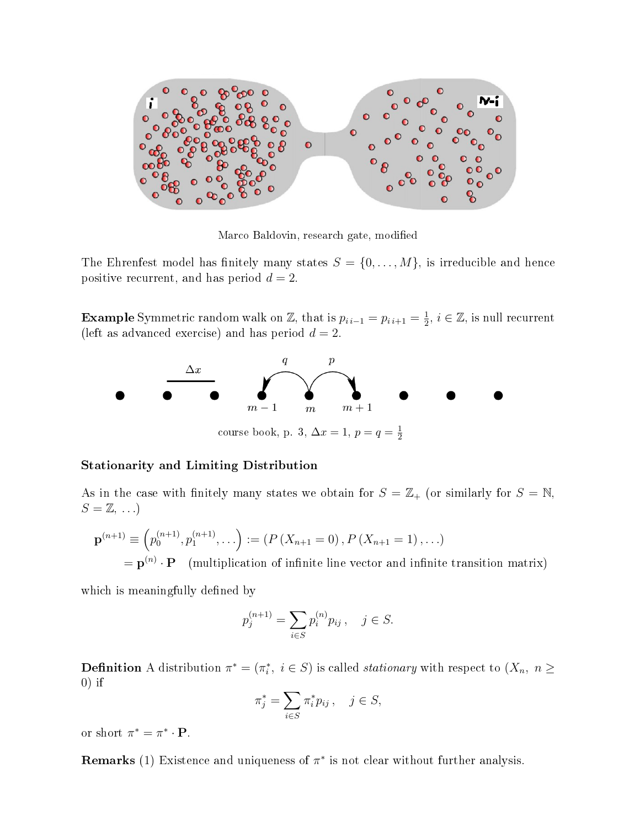

Marco Baldovin, research gate, modified

The Ehrenfest model has finitely many states  $S = \{0, \ldots, M\}$ , is irreducible and hence positive recurrent, and has period  $d = 2$ .

**Example** Symmetric random walk on Z, that is  $p_{i i-1} = p_{i i+1} = \frac{1}{2}$  $\frac{1}{2}$ ,  $i \in \mathbb{Z}$ , is null recurrent (left as advanced exercise) and has period  $d = 2$ .



#### Stationarity and Limiting Distribution

As in the case with finitely many states we obtain for  $S = \mathbb{Z}_+$  (or similarly for  $S = \mathbb{N}$ ,  $S = \mathbb{Z}, \ldots$ 

$$
\mathbf{p}^{(n+1)} \equiv \left(p_0^{(n+1)}, p_1^{(n+1)}, \ldots\right) := \left(P\left(X_{n+1} = 0\right), P\left(X_{n+1} = 1\right), \ldots\right)
$$

 $= \mathbf{p}^{(n)} \cdot \mathbf{P}$  (multiplication of infinite line vector and infinite transition matrix)

which is meaningfully defined by

$$
p_j^{(n+1)} = \sum_{i \in S} p_i^{(n)} p_{ij}, \quad j \in S.
$$

**Definition** A distribution  $\pi^* = (\pi_i^*, i \in S)$  is called *stationary* with respect to  $(X_n, n \geq 1)$  $0$ ) if

$$
\pi_j^* = \sum_{i \in S} \pi_i^* p_{ij}, \quad j \in S,
$$

or short  $\pi^* = \pi^* \cdot \mathbf{P}$ .

**Remarks** (1) Existence and uniqueness of  $\pi^*$  is not clear without further analysis.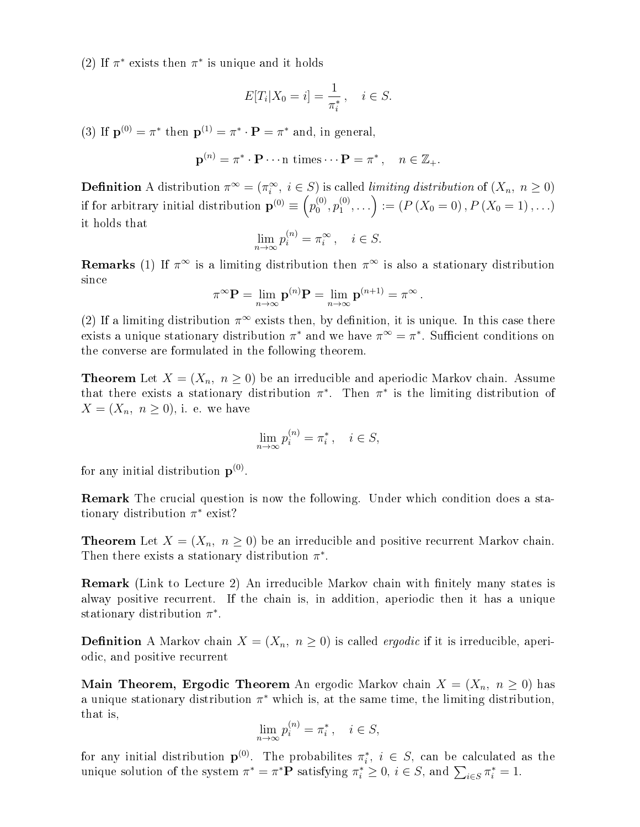(2) If  $\pi^*$  exists then  $\pi^*$  is unique and it holds

$$
E[T_i|X_0=i] = \frac{1}{\pi_i^*}, \quad i \in S.
$$

(3) If  $\mathbf{p}^{(0)} = \pi^*$  then  $\mathbf{p}^{(1)} = \pi^* \cdot \mathbf{P} = \pi^*$  and, in general,

$$
\mathbf{p}^{(n)} = \pi^* \cdot \mathbf{P} \cdots \text{n times} \cdots \mathbf{P} = \pi^*, \quad n \in \mathbb{Z}_+.
$$

**Definition** A distribution  $\pi^{\infty} = (\pi_i^{\infty}, i \in S)$  is called *limiting distribution* of  $(X_n, n \ge 0)$ if for arbitrary initial distribution  $\mathbf{p}^{(0)} \equiv \left( p_0^{(0)} \right)$  $\binom{00}{}$ ,  $p_1^{(0)}$  $\binom{0}{1}, \ldots$  := ( $P(X_0 = 0)$ ,  $P(X_0 = 1)$ , ...) it holds that

$$
\lim_{n \to \infty} p_i^{(n)} = \pi_i^{\infty}, \quad i \in S.
$$

**Remarks** (1) If  $\pi^{\infty}$  is a limiting distribution then  $\pi^{\infty}$  is also a stationary distribution since

$$
\pi^{\infty} \mathbf{P} = \lim_{n \to \infty} \mathbf{p}^{(n)} \mathbf{P} = \lim_{n \to \infty} \mathbf{p}^{(n+1)} = \pi^{\infty}.
$$

(2) If a limiting distribution  $\pi^{\infty}$  exists then, by definition, it is unique. In this case there exists a unique stationary distribution  $\pi^*$  and we have  $\pi^{\infty} = \pi^*$ . Sufficient conditions on the converse are formulated in the following theorem.

**Theorem** Let  $X = (X_n, n \geq 0)$  be an irreducible and aperiodic Markov chain. Assume that there exists a stationary distribution  $\pi^*$ . Then  $\pi^*$  is the limiting distribution of  $X=(X_n, n \geq 0)$ , i. e. we have

$$
\lim_{n \to \infty} p_i^{(n)} = \pi_i^*, \quad i \in S,
$$

for any initial distribution  $p^{(0)}$ .

Remark The crucial question is now the following. Under which condition does a stationary distribution  $\pi^*$  exist?

**Theorem** Let  $X = (X_n, n \geq 0)$  be an irreducible and positive recurrent Markov chain. Then there exists a stationary distribution  $\pi^*$ .

**Remark** (Link to Lecture 2) An irreducible Markov chain with finitely many states is alway positive recurrent. If the chain is, in addition, aperiodic then it has a unique stationary distribution  $\pi^*$ .

**Definition** A Markov chain  $X = (X_n, n \geq 0)$  is called *ergodic* if it is irreducible, aperiodic, and positive recurrent

**Main Theorem, Ergodic Theorem** An ergodic Markov chain  $X = (X_n, n \ge 0)$  has a unique stationary distribution  $\pi^*$  which is, at the same time, the limiting distribution, that is,

$$
\lim_{n \to \infty} p_i^{(n)} = \pi_i^*, \quad i \in S,
$$

for any initial distribution  $p^{(0)}$ . The probabilites  $\pi_i^*$ ,  $i \in S$ , can be calculated as the unique solution of the system  $\pi^* = \pi^* \mathbf{P}$  satisfying  $\pi_i^* \geq 0$ ,  $i \in S$ , and  $\sum_{i \in S} \pi_i^* = 1$ .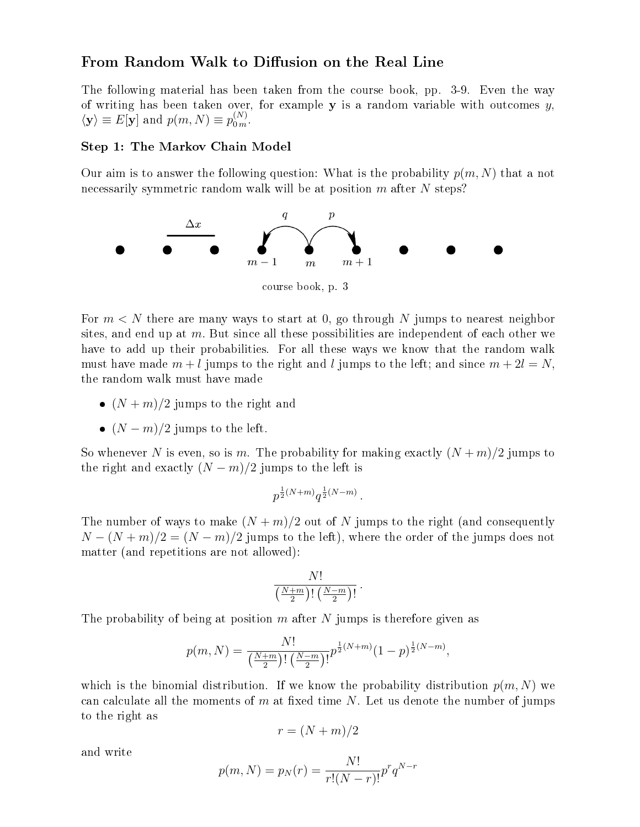## From Random Walk to Diffusion on the Real Line

The following material has been taken from the course book, pp. 3-9. Even the way of writing has been taken over, for example  $y$  is a random variable with outcomes  $y$ ,  $\langle \mathbf{y} \rangle \equiv E[\mathbf{y}]$  and  $p(m, N) \equiv p_{0m}^{(N)}$ .

#### Step 1: The Markov Chain Model

Our aim is to answer the following question: What is the probability  $p(m, N)$  that a not necessarily symmetric random walk will be at position m after N steps?



For  $m < N$  there are many ways to start at 0, go through N jumps to nearest neighbor sites, and end up at  $m$ . But since all these possibilities are independent of each other we have to add up their probabilities. For all these ways we know that the random walk must have made  $m + l$  jumps to the right and l jumps to the left; and since  $m + 2l = N$ , the random walk must have made

- $(N + m)/2$  jumps to the right and
- $(N-m)/2$  jumps to the left.

So whenever N is even, so is m. The probability for making exactly  $(N+m)/2$  jumps to the right and exactly  $(N - m)/2$  jumps to the left is

$$
p^{\frac{1}{2}(N+m)}q^{\frac{1}{2}(N-m)}.
$$

The number of ways to make  $(N + m)/2$  out of N jumps to the right (and consequently  $N-(N+m)/2 = (N-m)/2$  jumps to the left), where the order of the jumps does not matter (and repetitions are not allowed):

$$
\frac{N!}{\left(\frac{N+m}{2}\right)!\left(\frac{N-m}{2}\right)!}.
$$

The probability of being at position  $m$  after  $N$  jumps is therefore given as

$$
p(m, N) = \frac{N!}{\left(\frac{N+m}{2}\right)!\left(\frac{N-m}{2}\right)!} p^{\frac{1}{2}(N+m)} (1-p)^{\frac{1}{2}(N-m)},
$$

which is the binomial distribution. If we know the probability distribution  $p(m, N)$  we can calculate all the moments of  $m$  at fixed time  $N$ . Let us denote the number of jumps to the right as

$$
r = (N+m)/2
$$

and write

$$
p(m, N) = p_N(r) = \frac{N!}{r!(N-r)!}p^r q^{N-r}
$$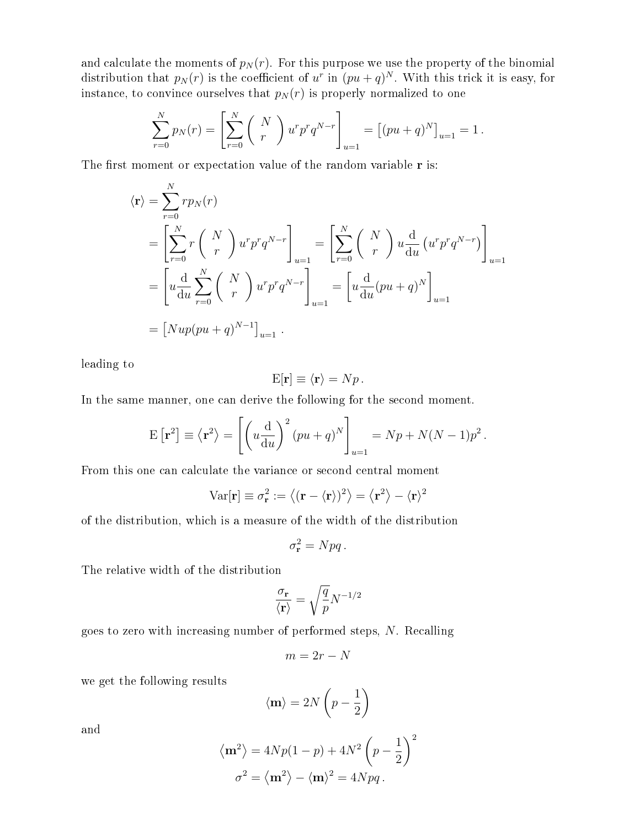and calculate the moments of  $p_N(r)$ . For this purpose we use the property of the binomial distribution that  $p_N(r)$  is the coefficient of  $u^r$  in  $(pu+q)^N$ . With this trick it is easy, for instance, to convince ourselves that  $p_N(r)$  is properly normalized to one

$$
\sum_{r=0}^{N} p_N(r) = \left[ \sum_{r=0}^{N} {N \choose r} u^r p^r q^{N-r} \right]_{u=1} = \left[ (pu+q)^N \right]_{u=1} = 1.
$$

The first moment or expectation value of the random variable  $r$  is:

$$
\langle \mathbf{r} \rangle = \sum_{r=0}^{N} r p_N(r)
$$
  
=  $\left[ \sum_{r=0}^{N} r \begin{pmatrix} N \\ r \end{pmatrix} u^r p^r q^{N-r} \right]_{u=1} = \left[ \sum_{r=0}^{N} \begin{pmatrix} N \\ r \end{pmatrix} u \frac{d}{du} (u^r p^r q^{N-r}) \right]_{u=1}$   
=  $\left[ u \frac{d}{du} \sum_{r=0}^{N} \begin{pmatrix} N \\ r \end{pmatrix} u^r p^r q^{N-r} \right]_{u=1} = \left[ u \frac{d}{du} (pu + q)^N \right]_{u=1}$   
=  $[Nup(pu + q)^{N-1}]_{u=1}$ .

leading to

$$
E[\mathbf{r}] \equiv \langle \mathbf{r} \rangle = Np \,.
$$

In the same manner, one can derive the following for the second moment.

$$
E[r^{2}] \equiv \langle r^{2} \rangle = \left[ \left( u \frac{d}{du} \right)^{2} (pu + q)^{N} \right]_{u=1} = Np + N(N-1)p^{2}.
$$

From this one can calculate the variance or second central moment

$$
Var[\mathbf{r}] \equiv \sigma_{\mathbf{r}}^2 := \langle (\mathbf{r} - \langle \mathbf{r} \rangle)^2 \rangle = \langle \mathbf{r}^2 \rangle - \langle \mathbf{r} \rangle^2
$$

of the distribution, which is a measure of the width of the distribution

$$
\sigma_{\mathbf{r}}^2 = Npq.
$$

The relative width of the distribution

$$
\frac{\sigma_{\mathbf{r}}}{\langle \mathbf{r} \rangle} = \sqrt{\frac{q}{p}} N^{-1/2}
$$

goes to zero with increasing number of performed steps, N. Recalling

$$
m = 2r - N
$$

we get the following results

$$
\langle \mathbf{m} \rangle = 2N \left( p - \frac{1}{2} \right)
$$

and

$$
\langle \mathbf{m}^2 \rangle = 4Np(1-p) + 4N^2 \left(p - \frac{1}{2}\right)^2
$$
  
 $\sigma^2 = \langle \mathbf{m}^2 \rangle - \langle \mathbf{m} \rangle^2 = 4Npq.$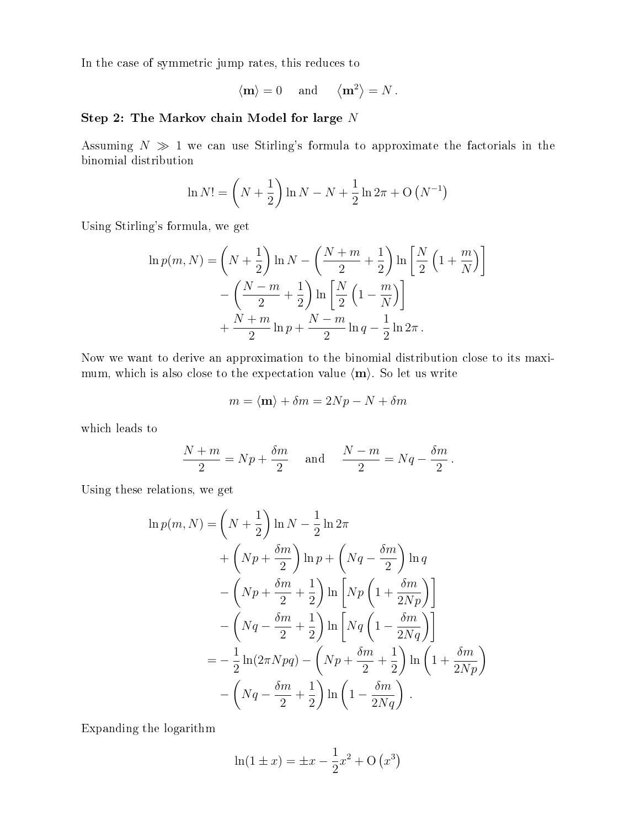In the case of symmetric jump rates, this reduces to

$$
\langle \mathbf{m} \rangle = 0
$$
 and  $\langle \mathbf{m}^2 \rangle = N$ .

# Step 2: The Markov chain Model for large N

Assuming  $N \gg 1$  we can use Stirling's formula to approximate the factorials in the binomial distribution

$$
\ln N! = \left(N + \frac{1}{2}\right) \ln N - N + \frac{1}{2} \ln 2\pi + O\left(N^{-1}\right)
$$

Using Stirling's formula, we get

$$
\ln p(m, N) = \left(N + \frac{1}{2}\right) \ln N - \left(\frac{N+m}{2} + \frac{1}{2}\right) \ln \left[\frac{N}{2}\left(1 + \frac{m}{N}\right)\right]
$$

$$
-\left(\frac{N-m}{2} + \frac{1}{2}\right) \ln \left[\frac{N}{2}\left(1 - \frac{m}{N}\right)\right]
$$

$$
+\frac{N+m}{2} \ln p + \frac{N-m}{2} \ln q - \frac{1}{2} \ln 2\pi.
$$

Now we want to derive an approximation to the binomial distribution close to its maximum, which is also close to the expectation value  $\langle m \rangle$ . So let us write

$$
m = \langle \mathbf{m} \rangle + \delta m = 2Np - N + \delta m
$$

which leads to

$$
\frac{N+m}{2} = Np + \frac{\delta m}{2} \quad \text{and} \quad \frac{N-m}{2} = Nq - \frac{\delta m}{2}.
$$

Using these relations, we get

$$
\ln p(m, N) = \left(N + \frac{1}{2}\right) \ln N - \frac{1}{2} \ln 2\pi
$$
  
+  $\left(Np + \frac{\delta m}{2}\right) \ln p + \left(Nq - \frac{\delta m}{2}\right) \ln q$   
-  $\left(Np + \frac{\delta m}{2} + \frac{1}{2}\right) \ln \left[Np\left(1 + \frac{\delta m}{2Np}\right)\right]$   
-  $\left(Nq - \frac{\delta m}{2} + \frac{1}{2}\right) \ln \left[Nq\left(1 - \frac{\delta m}{2Nq}\right)\right]$   
=  $-\frac{1}{2} \ln(2\pi Npq) - \left(Np + \frac{\delta m}{2} + \frac{1}{2}\right) \ln \left(1 + \frac{\delta m}{2Np}\right)$   
-  $\left(Nq - \frac{\delta m}{2} + \frac{1}{2}\right) \ln \left(1 - \frac{\delta m}{2Nq}\right)$ .

Expanding the logarithm

$$
\ln(1 \pm x) = \pm x - \frac{1}{2}x^2 + O(x^3)
$$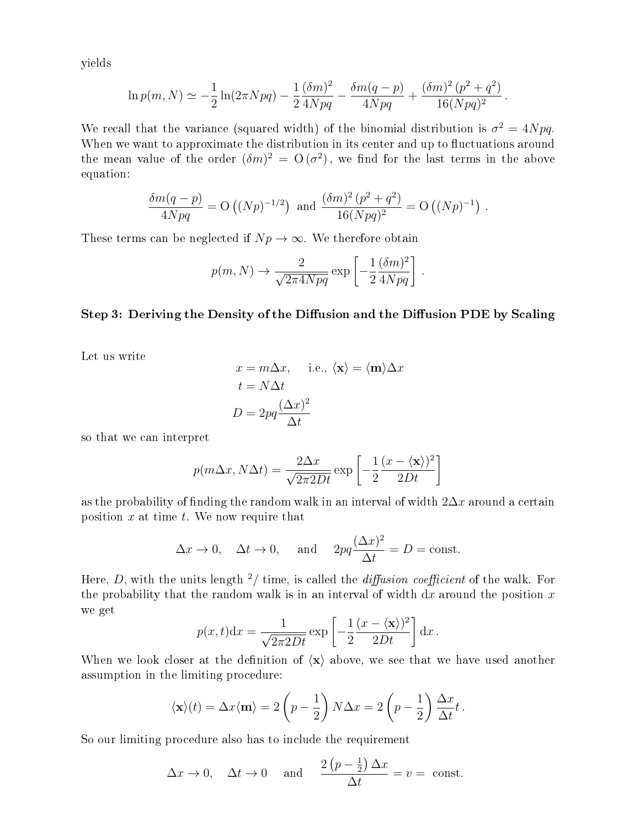yields

$$
\ln p(m, N) \simeq -\frac{1}{2}\ln(2\pi Npq) - \frac{1}{2}\frac{(\delta m)^2}{4Npq} - \frac{\delta m(q-p)}{4Npq} + \frac{(\delta m)^2 (p^2 + q^2)}{16(Npq)^2}
$$

.

We recall that the variance (squared width) of the binomial distribution is  $\sigma^2 = 4Npq$ . When we want to approximate the distribution in its center and up to fluctuations around the mean value of the order  $(\delta m)^2 = O(\sigma^2)$ , we find for the last terms in the above equation:

$$
\frac{\delta m(q-p)}{4Npq} = \mathcal{O}\left((Np)^{-1/2}\right) \text{ and } \frac{(\delta m)^2 (p^2 + q^2)}{16(Npq)^2} = \mathcal{O}\left((Np)^{-1}\right).
$$

These terms can be neglected if  $Np \to \infty$ . We therefore obtain

$$
p(m, N) \rightarrow \frac{2}{\sqrt{2\pi 4 N p q}} \exp \left[-\frac{1}{2} \frac{(\delta m)^2}{4 N p q}\right]
$$

.

#### Step 3: Deriving the Density of the Diffusion and the Diffusion PDE by Scaling

Let us write

$$
x = m\Delta x, \quad \text{i.e., } \langle \mathbf{x} \rangle = \langle \mathbf{m} \rangle \Delta x
$$

$$
t = N\Delta t
$$

$$
D = 2pq \frac{(\Delta x)^2}{\Delta t}
$$

so that we can interpret

$$
p(m\Delta x, N\Delta t) = \frac{2\Delta x}{\sqrt{2\pi 2Dt}} \exp\left[-\frac{1}{2}\frac{(x-\langle \mathbf{x}\rangle)^2}{2Dt}\right]
$$

as the probability of finding the random walk in an interval of width  $2\Delta x$  around a certain position  $x$  at time  $t$ . We now require that

$$
\Delta x \to 0
$$
,  $\Delta t \to 0$ , and  $2pq \frac{(\Delta x)^2}{\Delta t} = D = \text{const.}$ 

Here, D, with the units length  $\frac{2}{t}$  time, is called the *diffusion coefficient* of the walk. For the probability that the random walk is in an interval of width  $dx$  around the position x we get

$$
p(x,t)dx = \frac{1}{\sqrt{2\pi 2Dt}} \exp\left[-\frac{1}{2}\frac{(x-\langle \mathbf{x}\rangle)^2}{2Dt}\right] dx.
$$

When we look closer at the definition of  $\langle x \rangle$  above, we see that we have used another assumption in the limiting procedure:

$$
\langle \mathbf{x} \rangle(t) = \Delta x \langle \mathbf{m} \rangle = 2 \left( p - \frac{1}{2} \right) N \Delta x = 2 \left( p - \frac{1}{2} \right) \frac{\Delta x}{\Delta t} t.
$$

So our limiting procedure also has to include the requirement

$$
\Delta x \to 0
$$
,  $\Delta t \to 0$  and  $\frac{2(p - \frac{1}{2}) \Delta x}{\Delta t} = v = \text{const.}$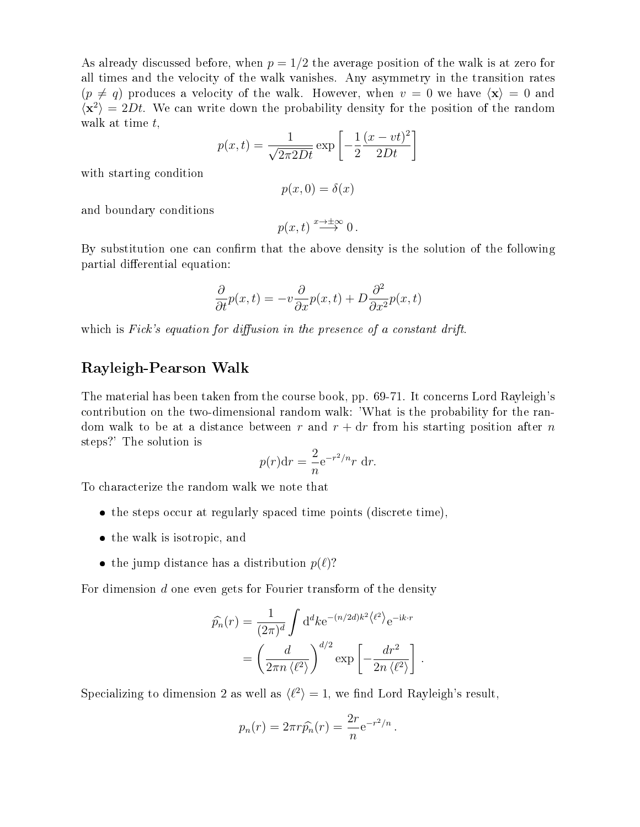As already discussed before, when  $p = 1/2$  the average position of the walk is at zero for all times and the velocity of the walk vanishes. Any asymmetry in the transition rates  $(p \neq q)$  produces a velocity of the walk. However, when  $v = 0$  we have  $\langle x \rangle = 0$  and  $\langle x^2 \rangle = 2Dt$ . We can write down the probability density for the position of the random walk at time t,

$$
p(x,t) = \frac{1}{\sqrt{2\pi 2Dt}} \exp\left[-\frac{1}{2}\frac{(x-vt)^2}{2Dt}\right]
$$

with starting condition

$$
p(x,0) = \delta(x)
$$

and boundary conditions

$$
p(x,t) \stackrel{x \to \pm \infty}{\longrightarrow} 0.
$$

By substitution one can confirm that the above density is the solution of the following partial differential equation:

$$
\frac{\partial}{\partial t}p(x,t) = -v\frac{\partial}{\partial x}p(x,t) + D\frac{\partial^2}{\partial x^2}p(x,t)
$$

which is Fick's equation for diffusion in the presence of a constant drift.

# Rayleigh-Pearson Walk

The material has been taken from the course book, pp. 69-71. It concerns Lord Rayleigh's contribution on the two-dimensional random walk: 'What is the probability for the random walk to be at a distance between r and  $r + dr$  from his starting position after n steps?' The solution is

$$
p(r)dr = \frac{2}{n}e^{-r^2/n}r dr.
$$

To characterize the random walk we note that

- the steps occur at regularly spaced time points (discrete time),
- the walk is isotropic, and
- the jump distance has a distribution  $p(\ell)$ ?

For dimension  $d$  one even gets for Fourier transform of the density

$$
\widehat{p_n}(r) = \frac{1}{(2\pi)^d} \int d^d k e^{-(n/2d)k^2 \langle \ell^2 \rangle} e^{-ik \cdot r}
$$

$$
= \left(\frac{d}{2\pi n \langle \ell^2 \rangle}\right)^{d/2} \exp\left[-\frac{dr^2}{2n \langle \ell^2 \rangle}\right].
$$

Specializing to dimension 2 as well as  $\langle l^2 \rangle = 1$ , we find Lord Rayleigh's result,

$$
p_n(r) = 2\pi r \widehat{p_n}(r) = \frac{2r}{n} e^{-r^2/n}.
$$